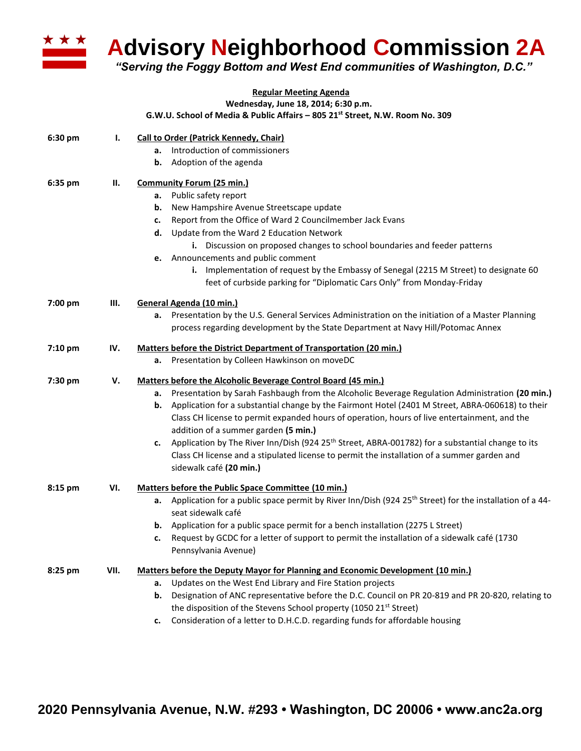

## **Advisory Neighborhood Commission 2A**

*"Serving the Foggy Bottom and West End communities of Washington, D.C."*

## **Regular Meeting Agenda**

**Wednesday, June 18, 2014; 6:30 p.m.**

**G.W.U. School of Media & Public Affairs – 805 21st Street, N.W. Room No. 309**

| 6:30 pm | Ι.   | <b>Call to Order (Patrick Kennedy, Chair)</b>                                                                             |
|---------|------|---------------------------------------------------------------------------------------------------------------------------|
|         |      | Introduction of commissioners<br>а.                                                                                       |
|         |      | Adoption of the agenda<br>b.                                                                                              |
| 6:35 pm | Ш.   | <b>Community Forum (25 min.)</b>                                                                                          |
|         |      | a. Public safety report                                                                                                   |
|         |      | New Hampshire Avenue Streetscape update<br>b.                                                                             |
|         |      | Report from the Office of Ward 2 Councilmember Jack Evans<br>c.                                                           |
|         |      | Update from the Ward 2 Education Network<br>d.                                                                            |
|         |      | i. Discussion on proposed changes to school boundaries and feeder patterns                                                |
|         |      | Announcements and public comment<br>е.                                                                                    |
|         |      | Implementation of request by the Embassy of Senegal (2215 M Street) to designate 60                                       |
|         |      | feet of curbside parking for "Diplomatic Cars Only" from Monday-Friday                                                    |
| 7:00 pm | Ш.   | General Agenda (10 min.)                                                                                                  |
|         |      | Presentation by the U.S. General Services Administration on the initiation of a Master Planning<br>а.                     |
|         |      | process regarding development by the State Department at Navy Hill/Potomac Annex                                          |
| 7:10 pm | IV.  | Matters before the District Department of Transportation (20 min.)                                                        |
|         |      | a. Presentation by Colleen Hawkinson on moveDC                                                                            |
| 7:30 pm | V.   | Matters before the Alcoholic Beverage Control Board (45 min.)                                                             |
|         |      | a. Presentation by Sarah Fashbaugh from the Alcoholic Beverage Regulation Administration (20 min.)                        |
|         |      | Application for a substantial change by the Fairmont Hotel (2401 M Street, ABRA-060618) to their<br>b.                    |
|         |      | Class CH license to permit expanded hours of operation, hours of live entertainment, and the                              |
|         |      | addition of a summer garden (5 min.)                                                                                      |
|         |      | Application by The River Inn/Dish (924 25 <sup>th</sup> Street, ABRA-001782) for a substantial change to its<br>c.        |
|         |      | Class CH license and a stipulated license to permit the installation of a summer garden and                               |
|         |      | sidewalk café (20 min.)                                                                                                   |
| 8:15 pm | VI.  | Matters before the Public Space Committee (10 min.)                                                                       |
|         |      | Application for a public space permit by River Inn/Dish (924 25 <sup>th</sup> Street) for the installation of a 44-<br>а. |
|         |      | seat sidewalk café                                                                                                        |
|         |      | Application for a public space permit for a bench installation (2275 L Street)<br>b.                                      |
|         |      | Request by GCDC for a letter of support to permit the installation of a sidewalk café (1730<br>c.                         |
|         |      | Pennsylvania Avenue)                                                                                                      |
| 8:25 pm | VII. | Matters before the Deputy Mayor for Planning and Economic Development (10 min.)                                           |
|         |      | Updates on the West End Library and Fire Station projects<br>а.                                                           |
|         |      | Designation of ANC representative before the D.C. Council on PR 20-819 and PR 20-820, relating to<br>b.                   |
|         |      | the disposition of the Stevens School property (1050 21 <sup>st</sup> Street)                                             |
|         |      | Consideration of a letter to D.H.C.D. regarding funds for affordable housing<br>c.                                        |